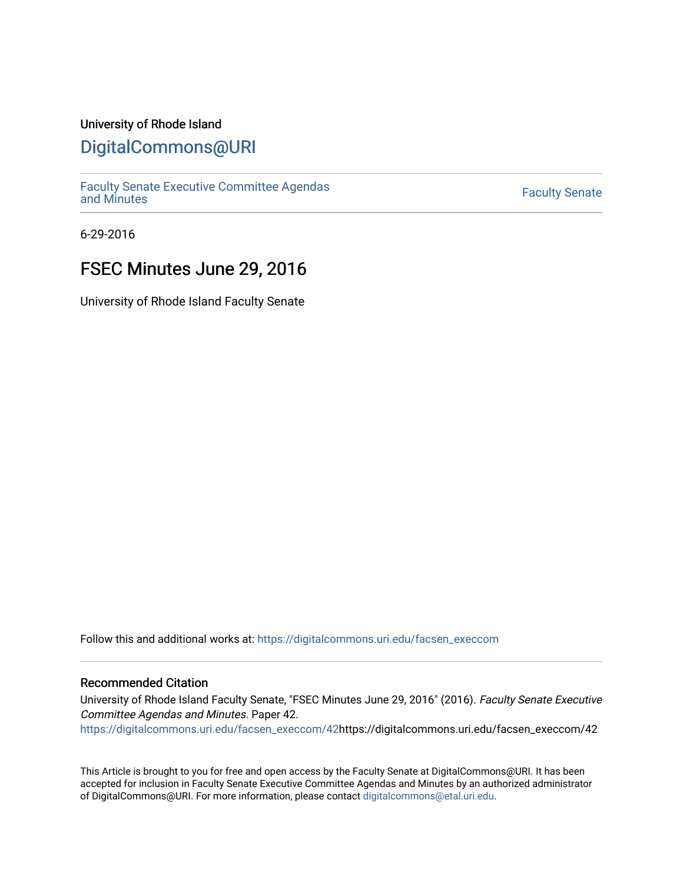## University of Rhode Island

# [DigitalCommons@URI](https://digitalcommons.uri.edu/)

[Faculty Senate Executive Committee Agendas](https://digitalcommons.uri.edu/facsen_execcom)  [and Minutes](https://digitalcommons.uri.edu/facsen_execcom) [Faculty Senate](https://digitalcommons.uri.edu/facsen) 

6-29-2016

# FSEC Minutes June 29, 2016

University of Rhode Island Faculty Senate

Follow this and additional works at: [https://digitalcommons.uri.edu/facsen\\_execcom](https://digitalcommons.uri.edu/facsen_execcom?utm_source=digitalcommons.uri.edu%2Ffacsen_execcom%2F42&utm_medium=PDF&utm_campaign=PDFCoverPages) 

#### Recommended Citation

University of Rhode Island Faculty Senate, "FSEC Minutes June 29, 2016" (2016). Faculty Senate Executive Committee Agendas and Minutes. Paper 42.

[https://digitalcommons.uri.edu/facsen\\_execcom/42h](https://digitalcommons.uri.edu/facsen_execcom/42?utm_source=digitalcommons.uri.edu%2Ffacsen_execcom%2F42&utm_medium=PDF&utm_campaign=PDFCoverPages)ttps://digitalcommons.uri.edu/facsen\_execcom/42

This Article is brought to you for free and open access by the Faculty Senate at DigitalCommons@URI. It has been accepted for inclusion in Faculty Senate Executive Committee Agendas and Minutes by an authorized administrator of DigitalCommons@URI. For more information, please contact [digitalcommons@etal.uri.edu](mailto:digitalcommons@etal.uri.edu).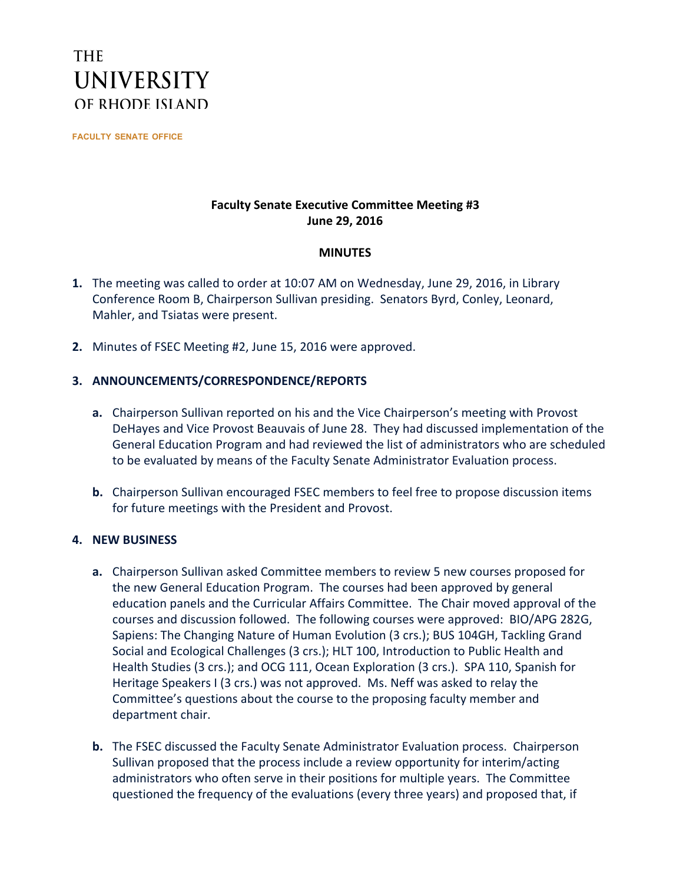# **THE UNIVERSITY** OF RHODE ISLAND

**FACULTY SENATE OFFICE**

## **Faculty Senate Executive Committee Meeting #3 June 29, 2016**

#### **MINUTES**

- **1.** The meeting was called to order at 10:07 AM on Wednesday, June 29, 2016, in Library Conference Room B, Chairperson Sullivan presiding. Senators Byrd, Conley, Leonard, Mahler, and Tsiatas were present.
- **2.** Minutes of FSEC Meeting #2, June 15, 2016 were approved.

## **3. ANNOUNCEMENTS/CORRESPONDENCE/REPORTS**

- **a.** Chairperson Sullivan reported on his and the Vice Chairperson's meeting with Provost DeHayes and Vice Provost Beauvais of June 28. They had discussed implementation of the General Education Program and had reviewed the list of administrators who are scheduled to be evaluated by means of the Faculty Senate Administrator Evaluation process.
- **b.** Chairperson Sullivan encouraged FSEC members to feel free to propose discussion items for future meetings with the President and Provost.

#### **4. NEW BUSINESS**

- **a.** Chairperson Sullivan asked Committee members to review 5 new courses proposed for the new General Education Program. The courses had been approved by general education panels and the Curricular Affairs Committee. The Chair moved approval of the courses and discussion followed. The following courses were approved: BIO/APG 282G, Sapiens: The Changing Nature of Human Evolution (3 crs.); BUS 104GH, Tackling Grand Social and Ecological Challenges (3 crs.); HLT 100, Introduction to Public Health and Health Studies (3 crs.); and OCG 111, Ocean Exploration (3 crs.). SPA 110, Spanish for Heritage Speakers I (3 crs.) was not approved. Ms. Neff was asked to relay the Committee's questions about the course to the proposing faculty member and department chair.
- **b.** The FSEC discussed the Faculty Senate Administrator Evaluation process. Chairperson Sullivan proposed that the process include a review opportunity for interim/acting administrators who often serve in their positions for multiple years. The Committee questioned the frequency of the evaluations (every three years) and proposed that, if